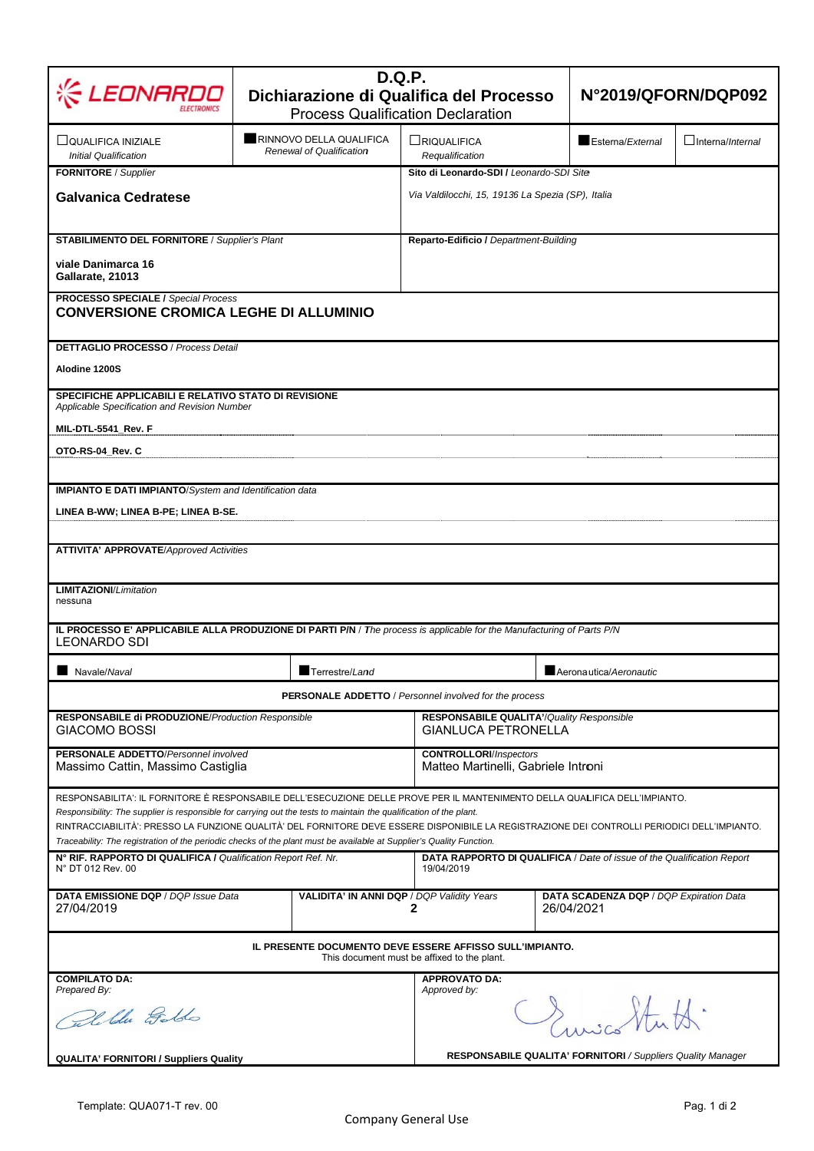| LEONARD                                                                                                                                                                                                                                                                                                                                                                                           | <b>D.Q.P.</b><br>Dichiarazione di Qualifica del Processo<br><b>Process Qualification Declaration</b> |                                                                                               |                  | N°2019/QFORN/DQP092             |  |  |  |
|---------------------------------------------------------------------------------------------------------------------------------------------------------------------------------------------------------------------------------------------------------------------------------------------------------------------------------------------------------------------------------------------------|------------------------------------------------------------------------------------------------------|-----------------------------------------------------------------------------------------------|------------------|---------------------------------|--|--|--|
|                                                                                                                                                                                                                                                                                                                                                                                                   |                                                                                                      |                                                                                               |                  |                                 |  |  |  |
| □ QUALIFICA INIZIALE<br><b>Initial Qualification</b>                                                                                                                                                                                                                                                                                                                                              | RINNOVO DELLA QUALIFICA<br>Renewal of Qualification                                                  | LRIQUALIFICA<br>Requalification                                                               | Esterna/External | $\Box$ Interna/ <i>Internal</i> |  |  |  |
| FORNITORE / Supplier                                                                                                                                                                                                                                                                                                                                                                              |                                                                                                      | Sito di Leonardo-SDI / Leonardo-SDI Site<br>Via Valdilocchi, 15, 19136 La Spezia (SP), Italia |                  |                                 |  |  |  |
| <b>Galvanica Cedratese</b>                                                                                                                                                                                                                                                                                                                                                                        |                                                                                                      |                                                                                               |                  |                                 |  |  |  |
| <b>STABILIMENTO DEL FORNITORE / Supplier's Plant</b>                                                                                                                                                                                                                                                                                                                                              |                                                                                                      | Reparto-Edificio / Department-Building                                                        |                  |                                 |  |  |  |
| viale Danimarca 16<br>Gallarate, 21013                                                                                                                                                                                                                                                                                                                                                            |                                                                                                      |                                                                                               |                  |                                 |  |  |  |
| <b>PROCESSO SPECIALE / Special Process</b><br><b>CONVERSIONE CROMICA LEGHE DI ALLUMINIO</b>                                                                                                                                                                                                                                                                                                       |                                                                                                      |                                                                                               |                  |                                 |  |  |  |
| <b>DETTAGLIO PROCESSO / Process Detail</b>                                                                                                                                                                                                                                                                                                                                                        |                                                                                                      |                                                                                               |                  |                                 |  |  |  |
| Alodine 1200S                                                                                                                                                                                                                                                                                                                                                                                     |                                                                                                      |                                                                                               |                  |                                 |  |  |  |
| SPECIFICHE APPLICABILI E RELATIVO STATO DI REVISIONE<br>Applicable Specification and Revision Number                                                                                                                                                                                                                                                                                              |                                                                                                      |                                                                                               |                  |                                 |  |  |  |
| MIL-DTL-5541_Rev. F                                                                                                                                                                                                                                                                                                                                                                               |                                                                                                      |                                                                                               |                  |                                 |  |  |  |
| OTO-RS-04 Rev. C                                                                                                                                                                                                                                                                                                                                                                                  |                                                                                                      |                                                                                               |                  |                                 |  |  |  |
| <b>IMPIANTO E DATI IMPIANTO/System and Identification data</b><br>LINEA B-WW; LINEA B-PE; LINEA B-SE.                                                                                                                                                                                                                                                                                             |                                                                                                      |                                                                                               |                  |                                 |  |  |  |
| <b>ATTIVITA' APPROVATE/Approved Activities</b>                                                                                                                                                                                                                                                                                                                                                    |                                                                                                      |                                                                                               |                  |                                 |  |  |  |
| <b>LIMITAZIONI/Limitation</b><br>nessuna                                                                                                                                                                                                                                                                                                                                                          |                                                                                                      |                                                                                               |                  |                                 |  |  |  |
| IL PROCESSO E' APPLICABILE ALLA PRODUZIONE DI PARTI P/N / The process is applicable for the Manufacturing of Parts P/N                                                                                                                                                                                                                                                                            |                                                                                                      |                                                                                               |                  |                                 |  |  |  |
| LEONARDO SDI                                                                                                                                                                                                                                                                                                                                                                                      | Terrestre/Land                                                                                       |                                                                                               |                  | Aeronautica/Aeronautic          |  |  |  |
| Navale/Naval<br><b>PERSONALE ADDETTO</b> / Personnel involved for the process                                                                                                                                                                                                                                                                                                                     |                                                                                                      |                                                                                               |                  |                                 |  |  |  |
| RESPONSABILE di PRODUZIONE/Production Responsible<br><b>GIACOMO BOSSI</b>                                                                                                                                                                                                                                                                                                                         |                                                                                                      | <b>RESPONSABILE QUALITA'/ Quality Responsible</b><br><b>GIANLUCA PETRONELLA</b>               |                  |                                 |  |  |  |
| PERSONALE ADDETTO/Personnel involved<br>Massimo Cattin, Massimo Castiglia                                                                                                                                                                                                                                                                                                                         |                                                                                                      | <b>CONTROLLORI/Inspectors</b><br>Matteo Martinelli, Gabriele Introni                          |                  |                                 |  |  |  |
|                                                                                                                                                                                                                                                                                                                                                                                                   |                                                                                                      |                                                                                               |                  |                                 |  |  |  |
| RESPONSABILITA': IL FORNITORE È RESPONSABILE DELL'ESECUZIONE DELLE PROVE PER IL MANTENIMENTO DELLA QUALIFICA DELL'IMPIANTO.<br>Responsibility: The supplier is responsible for carrying out the tests to maintain the qualification of the plant.<br>RINTRACCIABILITÀ': PRESSO LA FUNZIONE QUALITÀ' DEL FORNITORE DEVE ESSERE DISPONIBILE LA REGISTRAZIONE DEI CONTROLLI PERIODICI DELL'IMPIANTO. |                                                                                                      |                                                                                               |                  |                                 |  |  |  |
| Traceability: The registration of the periodic checks of the plant must be available at Supplier's Quality Function.<br>N° RIF. RAPPORTO DI QUALIFICA / Qualification Report Ref. Nr.<br>DATA RAPPORTO DI QUALIFICA / Date of issue of the Qualification Report<br>N° DT 012 Rev. 00<br>19/04/2019                                                                                                |                                                                                                      |                                                                                               |                  |                                 |  |  |  |
| DATA EMISSIONE DQP / DQP Issue Data<br>27/04/2019                                                                                                                                                                                                                                                                                                                                                 | VALIDITA' IN ANNI DQP / DQP Validity Years                                                           | DATA SCADENZA DQP / DQP Expiration Data<br>26/04/2021<br>2                                    |                  |                                 |  |  |  |
| IL PRESENTE DOCUMENTO DEVE ESSERE AFFISSO SULL'IMPIANTO.<br>This document must be affixed to the plant.                                                                                                                                                                                                                                                                                           |                                                                                                      |                                                                                               |                  |                                 |  |  |  |
| <b>COMPILATO DA:</b><br>Prepared By:                                                                                                                                                                                                                                                                                                                                                              |                                                                                                      | <b>APPROVATO DA:</b><br>Approved by:                                                          |                  |                                 |  |  |  |
| Calible Golds                                                                                                                                                                                                                                                                                                                                                                                     |                                                                                                      | Cruichtutt.                                                                                   |                  |                                 |  |  |  |
| OUALITA' FORNITORL / Suppliers Ouality                                                                                                                                                                                                                                                                                                                                                            |                                                                                                      | <b>RESPONSABILE QUALITA' FORNITORI</b> / Suppliers Quality Manager                            |                  |                                 |  |  |  |